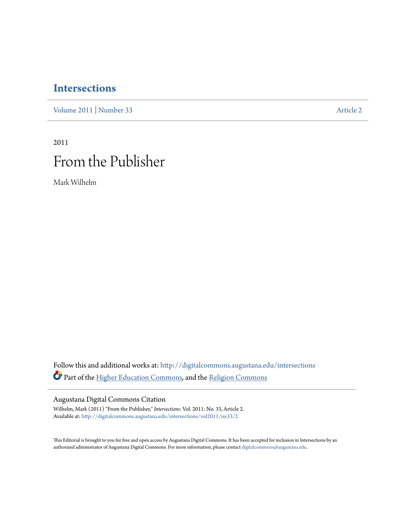### **[Intersections](http://digitalcommons.augustana.edu/intersections?utm_source=digitalcommons.augustana.edu%2Fintersections%2Fvol2011%2Fiss33%2F2&utm_medium=PDF&utm_campaign=PDFCoverPages)**

[Volume 2011](http://digitalcommons.augustana.edu/intersections/vol2011?utm_source=digitalcommons.augustana.edu%2Fintersections%2Fvol2011%2Fiss33%2F2&utm_medium=PDF&utm_campaign=PDFCoverPages) | [Number 33](http://digitalcommons.augustana.edu/intersections/vol2011/iss33?utm_source=digitalcommons.augustana.edu%2Fintersections%2Fvol2011%2Fiss33%2F2&utm_medium=PDF&utm_campaign=PDFCoverPages) [Article 2](http://digitalcommons.augustana.edu/intersections/vol2011/iss33/2?utm_source=digitalcommons.augustana.edu%2Fintersections%2Fvol2011%2Fiss33%2F2&utm_medium=PDF&utm_campaign=PDFCoverPages)

## 2011 From the Publisher

Mark Wilhelm

Follow this and additional works at: [http://digitalcommons.augustana.edu/intersections](http://digitalcommons.augustana.edu/intersections?utm_source=digitalcommons.augustana.edu%2Fintersections%2Fvol2011%2Fiss33%2F2&utm_medium=PDF&utm_campaign=PDFCoverPages) Part of the [Higher Education Commons](http://network.bepress.com/hgg/discipline/1245?utm_source=digitalcommons.augustana.edu%2Fintersections%2Fvol2011%2Fiss33%2F2&utm_medium=PDF&utm_campaign=PDFCoverPages), and the [Religion Commons](http://network.bepress.com/hgg/discipline/538?utm_source=digitalcommons.augustana.edu%2Fintersections%2Fvol2011%2Fiss33%2F2&utm_medium=PDF&utm_campaign=PDFCoverPages)

#### Augustana Digital Commons Citation

Wilhelm, Mark (2011) "From the Publisher," *Intersections*: Vol. 2011: No. 33, Article 2. Available at: [http://digitalcommons.augustana.edu/intersections/vol2011/iss33/2](http://digitalcommons.augustana.edu/intersections/vol2011/iss33/2?utm_source=digitalcommons.augustana.edu%2Fintersections%2Fvol2011%2Fiss33%2F2&utm_medium=PDF&utm_campaign=PDFCoverPages)

This Editorial is brought to you for free and open access by Augustana Digital Commons. It has been accepted for inclusion in Intersections by an authorized administrator of Augustana Digital Commons. For more information, please contact [digitalcommons@augustana.edu.](mailto:digitalcommons@augustana.edu)